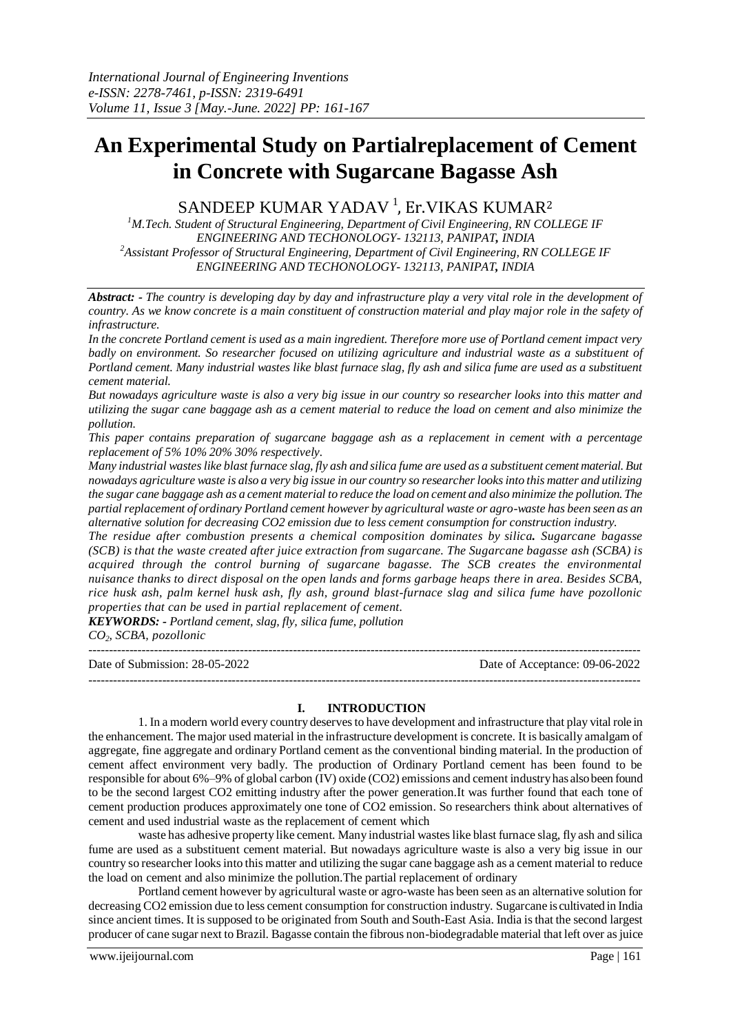# **An Experimental Study on Partialreplacement of Cement in Concrete with Sugarcane Bagasse Ash**

# SANDEEP KUMAR YADAV $^{\rm l}$ , Er.VIKAS KUMAR $^{\rm 2}$

*<sup>1</sup>M.Tech. Student of Structural Engineering, Department of Civil Engineering, RN COLLEGE IF ENGINEERING AND TECHONOLOGY- 132113, PANIPAT, INDIA <sup>2</sup>Assistant Professor of Structural Engineering, Department of Civil Engineering, RN COLLEGE IF ENGINEERING AND TECHONOLOGY- 132113, PANIPAT, INDIA*

*Abstract: - The country is developing day by day and infrastructure play a very vital role in the development of country. As we know concrete is a main constituent of construction material and play major role in the safety of infrastructure.*

*In the concrete Portland cement is used as a main ingredient. Therefore more use of Portland cement impact very badly on environment. So researcher focused on utilizing agriculture and industrial waste as a substituent of Portland cement. Many industrial wastes like blast furnace slag, fly ash and silica fume are used as a substituent cement material.*

*But nowadays agriculture waste is also a very big issue in our country so researcher looks into this matter and utilizing the sugar cane baggage ash as a cement material to reduce the load on cement and also minimize the pollution.*

*This paper contains preparation of sugarcane baggage ash as a replacement in cement with a percentage replacement of 5% 10% 20% 30% respectively.*

*Many industrial wastes like blast furnace slag, fly ash and silica fume are used as a substituent cement material. But nowadays agriculture waste is also a very big issue in our country so researcher looks into this matter and utilizing the sugar cane baggage ash as a cement material to reduce the load on cement and also minimize the pollution. The partial replacement of ordinary Portland cement however by agricultural waste or agro-waste has been seen as an alternative solution for decreasing CO2 emission due to less cement consumption for construction industry.*

*The residue after combustion presents a chemical composition dominates by silica. Sugarcane bagasse (SCB) is that the waste created after juice extraction from sugarcane. The Sugarcane bagasse ash (SCBA) is acquired through the control burning of sugarcane bagasse. The SCB creates the environmental nuisance thanks to direct disposal on the open lands and forms garbage heaps there in area. Besides SCBA, rice husk ash, palm kernel husk ash, fly ash, ground blast-furnace slag and silica fume have pozollonic properties that can be used in partial replacement of cement.* 

*KEYWORDS: - Portland cement, slag, fly, silica fume, pollution CO2, SCBA, pozollonic*

--------------------------------------------------------------------------------------------------------------------------------------- Date of Submission: 28-05-2022 Date of Acceptance: 09-06-2022 ---------------------------------------------------------------------------------------------------------------------------------------

#### **I. INTRODUCTION**

1. In a modern world every country deserves to have development and infrastructure that play vital role in the enhancement. The major used material in the infrastructure development is concrete. It is basically amalgam of aggregate, fine aggregate and ordinary Portland cement as the conventional binding material. In the production of cement affect environment very badly. The production of Ordinary Portland cement has been found to be responsible for about 6%–9% of global carbon (IV) oxide (CO2) emissions and cement industry has also been found to be the second largest CO2 emitting industry after the power generation.It was further found that each tone of cement production produces approximately one tone of CO2 emission. So researchers think about alternatives of cement and used industrial waste as the replacement of cement which

waste has adhesive property like cement. Many industrial wastes like blast furnace slag, fly ash and silica fume are used as a substituent cement material. But nowadays agriculture waste is also a very big issue in our country so researcher looks into this matter and utilizing the sugar cane baggage ash as a cement material to reduce the load on cement and also minimize the pollution.The partial replacement of ordinary

Portland cement however by agricultural waste or agro-waste has been seen as an alternative solution for decreasing CO2 emission due to less cement consumption for construction industry. Sugarcane is cultivated in India since ancient times. It is supposed to be originated from South and South-East Asia. India is that the second largest producer of cane sugar next to Brazil. Bagasse contain the fibrous non-biodegradable material that left over as juice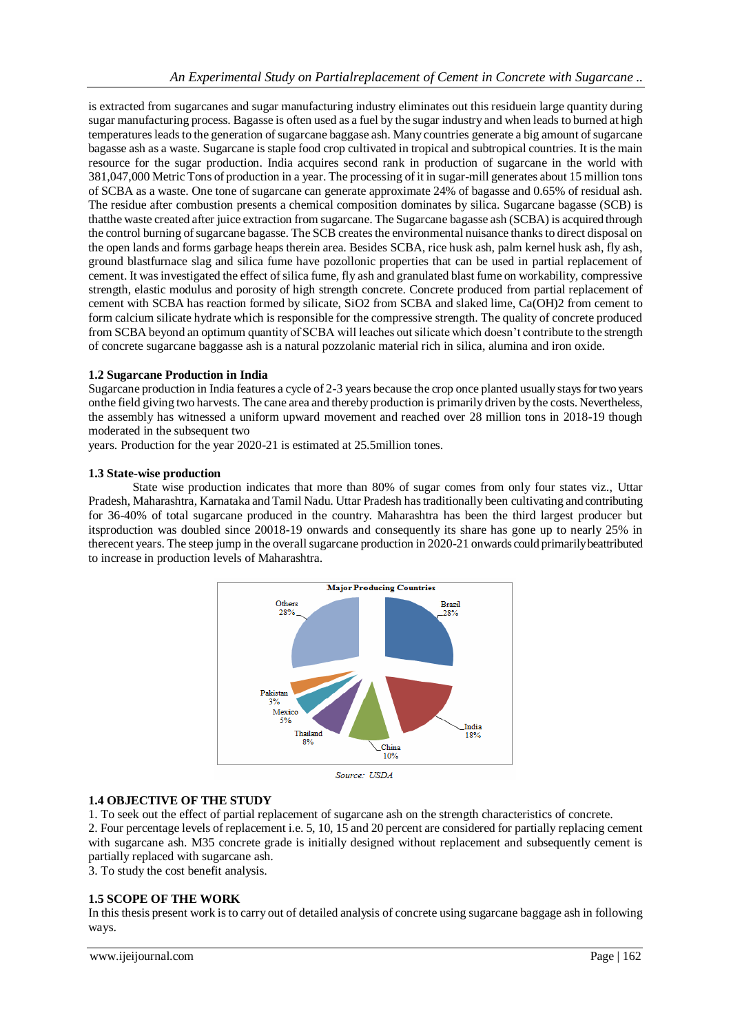is extracted from sugarcanes and sugar manufacturing industry eliminates out this residuein large quantity during sugar manufacturing process. Bagasse is often used as a fuel by the sugar industry and when leads to burned at high temperatures leads to the generation of sugarcane baggase ash. Many countries generate a big amount of sugarcane bagasse ash as a waste. Sugarcane is staple food crop cultivated in tropical and subtropical countries. It is the main resource for the sugar production. India acquires second rank in production of sugarcane in the world with 381,047,000 Metric Tons of production in a year. The processing of it in sugar-mill generates about 15 million tons of SCBA as a waste. One tone of sugarcane can generate approximate 24% of bagasse and 0.65% of residual ash. The residue after combustion presents a chemical composition dominates by silica. Sugarcane bagasse (SCB) is thatthe waste created after juice extraction from sugarcane. The Sugarcane bagasse ash (SCBA) is acquired through the control burning of sugarcane bagasse. The SCB creates the environmental nuisance thanks to direct disposal on the open lands and forms garbage heaps therein area. Besides SCBA, rice husk ash, palm kernel husk ash, fly ash, ground blastfurnace slag and silica fume have pozollonic properties that can be used in partial replacement of cement. It was investigated the effect of silica fume, fly ash and granulated blast fume on workability, compressive strength, elastic modulus and porosity of high strength concrete. Concrete produced from partial replacement of cement with SCBA has reaction formed by silicate, SiO2 from SCBA and slaked lime, Ca(OH)2 from cement to form calcium silicate hydrate which is responsible for the compressive strength. The quality of concrete produced from SCBA beyond an optimum quantity of SCBA will leaches out silicate which doesn't contribute to the strength of concrete sugarcane baggasse ash is a natural pozzolanic material rich in silica, alumina and iron oxide.

#### **1.2 Sugarcane Production in India**

Sugarcane production in India features a cycle of 2-3 years because the crop once planted usually stays for two years onthe field giving two harvests. The cane area and thereby production is primarily driven by the costs. Nevertheless, the assembly has witnessed a uniform upward movement and reached over 28 million tons in 2018-19 though moderated in the subsequent two

years. Production for the year 2020-21 is estimated at 25.5million tones.

#### **1.3 State-wise production**

State wise production indicates that more than 80% of sugar comes from only four states viz., Uttar Pradesh, Maharashtra, Karnataka and Tamil Nadu. Uttar Pradesh has traditionally been cultivating and contributing for 36-40% of total sugarcane produced in the country. Maharashtra has been the third largest producer but itsproduction was doubled since 20018-19 onwards and consequently its share has gone up to nearly 25% in therecent years. The steep jump in the overall sugarcane production in 2020-21 onwards could primarily beattributed to increase in production levels of Maharashtra.



Source: USDA

#### **1.4 OBJECTIVE OF THE STUDY**

1. To seek out the effect of partial replacement of sugarcane ash on the strength characteristics of concrete. 2. Four percentage levels of replacement i.e. 5, 10, 15 and 20 percent are considered for partially replacing cement with sugarcane ash. M35 concrete grade is initially designed without replacement and subsequently cement is partially replaced with sugarcane ash.

3. To study the cost benefit analysis.

#### **1.5 SCOPE OF THE WORK**

In this thesis present work is to carry out of detailed analysis of concrete using sugarcane baggage ash in following ways.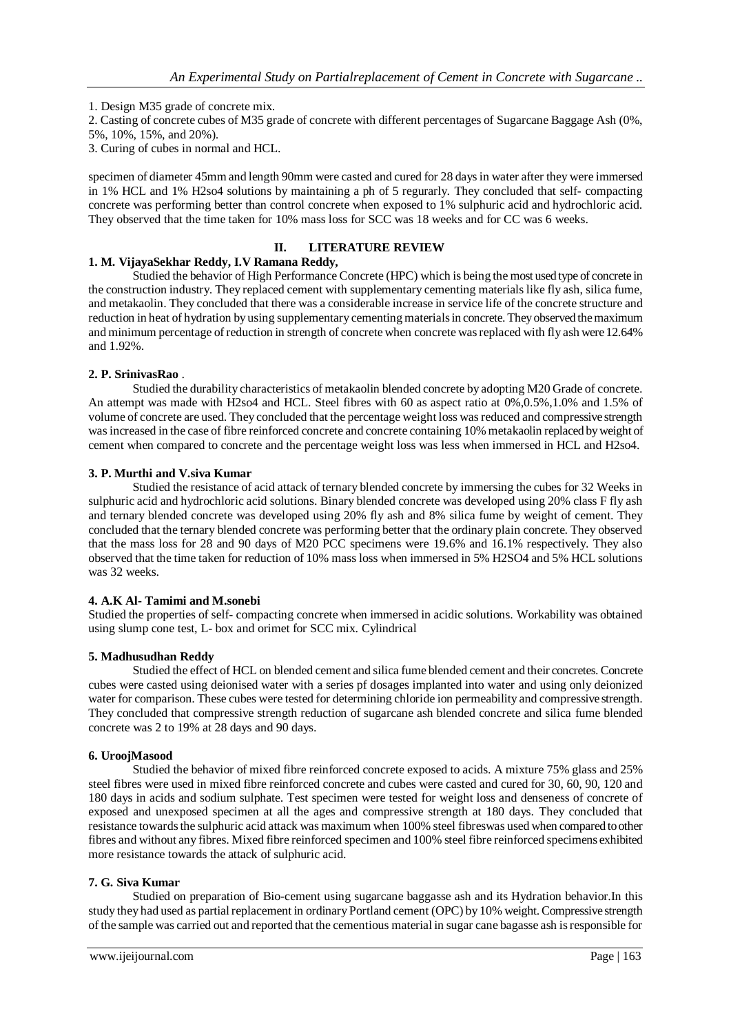1. Design M35 grade of concrete mix.

2. Casting of concrete cubes of M35 grade of concrete with different percentages of Sugarcane Baggage Ash (0%, 5%, 10%, 15%, and 20%).

3. Curing of cubes in normal and HCL.

specimen of diameter 45mm and length 90mm were casted and cured for 28 days in water after they were immersed in 1% HCL and 1% H2so4 solutions by maintaining a ph of 5 regurarly. They concluded that self- compacting concrete was performing better than control concrete when exposed to 1% sulphuric acid and hydrochloric acid. They observed that the time taken for 10% mass loss for SCC was 18 weeks and for CC was 6 weeks.

### **II. LITERATURE REVIEW**

### **1. M. VijayaSekhar Reddy, I.V Ramana Reddy,**

Studied the behavior of High Performance Concrete (HPC) which is being the most used type of concrete in the construction industry. They replaced cement with supplementary cementing materials like fly ash, silica fume, and metakaolin. They concluded that there was a considerable increase in service life of the concrete structure and reduction in heat of hydration by using supplementary cementing materials in concrete. They observed the maximum and minimum percentage of reduction in strength of concrete when concrete was replaced with fly ash were 12.64% and 1.92%.

#### **2. P. SrinivasRao** .

Studied the durability characteristics of metakaolin blended concrete by adopting M20 Grade of concrete. An attempt was made with H2so4 and HCL. Steel fibres with 60 as aspect ratio at 0%,0.5%,1.0% and 1.5% of volume of concrete are used. They concluded that the percentage weight loss was reduced and compressive strength wasincreased in the case of fibre reinforced concrete and concrete containing 10% metakaolin replaced by weight of cement when compared to concrete and the percentage weight loss was less when immersed in HCL and H2so4.

#### **3. P. Murthi and V.siva Kumar**

Studied the resistance of acid attack of ternary blended concrete by immersing the cubes for 32 Weeks in sulphuric acid and hydrochloric acid solutions. Binary blended concrete was developed using 20% class F fly ash and ternary blended concrete was developed using 20% fly ash and 8% silica fume by weight of cement. They concluded that the ternary blended concrete was performing better that the ordinary plain concrete. They observed that the mass loss for 28 and 90 days of M20 PCC specimens were 19.6% and 16.1% respectively. They also observed that the time taken for reduction of 10% mass loss when immersed in 5% H2SO4 and 5% HCL solutions was 32 weeks.

#### **4. A.K Al- Tamimi and M.sonebi**

Studied the properties of self- compacting concrete when immersed in acidic solutions. Workability was obtained using slump cone test, L- box and orimet for SCC mix. Cylindrical

#### **5. Madhusudhan Reddy**

Studied the effect of HCL on blended cement and silica fume blended cement and their concretes. Concrete cubes were casted using deionised water with a series pf dosages implanted into water and using only deionized water for comparison. These cubes were tested for determining chloride ion permeability and compressive strength. They concluded that compressive strength reduction of sugarcane ash blended concrete and silica fume blended concrete was 2 to 19% at 28 days and 90 days.

#### **6. UroojMasood**

Studied the behavior of mixed fibre reinforced concrete exposed to acids. A mixture 75% glass and 25% steel fibres were used in mixed fibre reinforced concrete and cubes were casted and cured for 30, 60, 90, 120 and 180 days in acids and sodium sulphate. Test specimen were tested for weight loss and denseness of concrete of exposed and unexposed specimen at all the ages and compressive strength at 180 days. They concluded that resistance towards the sulphuric acid attack was maximum when 100% steel fibreswas used when compared to other fibres and without any fibres. Mixed fibre reinforced specimen and 100% steel fibre reinforced specimens exhibited more resistance towards the attack of sulphuric acid.

#### **7. G. Siva Kumar**

Studied on preparation of Bio-cement using sugarcane baggasse ash and its Hydration behavior.In this study they had used as partial replacement in ordinary Portland cement (OPC) by 10% weight. Compressive strength of the sample was carried out and reported that the cementious material in sugar cane bagasse ash is responsible for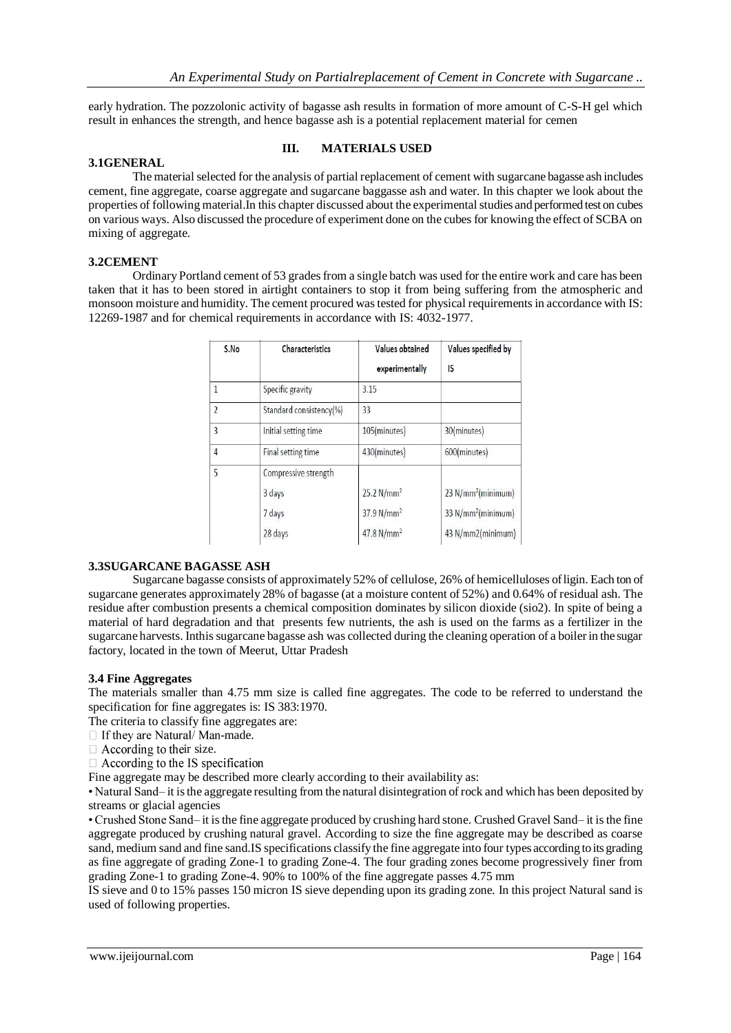early hydration. The pozzolonic activity of bagasse ash results in formation of more amount of C-S-H gel which result in enhances the strength, and hence bagasse ash is a potential replacement material for cemen

#### **3.1GENERAL**

#### **III. MATERIALS USED**

The material selected for the analysis of partial replacement of cement with sugarcane bagasse ash includes cement, fine aggregate, coarse aggregate and sugarcane baggasse ash and water. In this chapter we look about the properties of following material.In this chapter discussed about the experimental studies and performed test on cubes on various ways. Also discussed the procedure of experiment done on the cubes for knowing the effect of SCBA on mixing of aggregate.

#### **3.2CEMENT**

Ordinary Portland cement of 53 grades from a single batch was used for the entire work and care has been taken that it has to been stored in airtight containers to stop it from being suffering from the atmospheric and monsoon moisture and humidity. The cement procured was tested for physical requirements in accordance with IS: 12269-1987 and for chemical requirements in accordance with IS: 4032-1977.

| S.No           | Characteristics           | Values obtained<br>experimentally | Values specified by<br>IS      |
|----------------|---------------------------|-----------------------------------|--------------------------------|
| $\mathbf{1}$   | Specific gravity          | 3.15                              |                                |
| $\overline{2}$ | Standard consistency(%)   | 33                                |                                |
| 3              | Initial setting time      | 105(minutes)                      | 30(minutes)                    |
| 4              | <b>Final setting time</b> | 430(minutes)                      | 600(minutes)                   |
| 5              | Compressive strength      |                                   |                                |
|                | 3 days                    | 25.2 N/mm <sup>2</sup>            | 23 N/mm <sup>2</sup> (minimum) |
|                | 7 days                    | 37.9 N/mm <sup>2</sup>            | 33 N/mm <sup>2</sup> (minimum) |
|                | 28 days                   | 47.8 $N/mm^2$                     | 43 N/mm2(minimum)              |

#### **3.3SUGARCANE BAGASSE ASH**

Sugarcane bagasse consists of approximately 52% of cellulose, 26% of hemicelluloses of ligin. Each ton of sugarcane generates approximately 28% of bagasse (at a moisture content of 52%) and 0.64% of residual ash. The residue after combustion presents a chemical composition dominates by silicon dioxide (sio2). In spite of being a material of hard degradation and that presents few nutrients, the ash is used on the farms as a fertilizer in the sugarcane harvests. Inthissugarcane bagasse ash was collected during the cleaning operation of a boiler in the sugar factory, located in the town of Meerut, Uttar Pradesh

#### **3.4 Fine Aggregates**

The materials smaller than 4.75 mm size is called fine aggregates. The code to be referred to understand the specification for fine aggregates is: IS 383:1970.

The criteria to classify fine aggregates are:

- $\Box$  If they are Natural/Man-made.
- $\Box$  According to their size.

 $\Box$  According to the IS specification

Fine aggregate may be described more clearly according to their availability as:

• Natural Sand– it is the aggregate resulting from the natural disintegration of rock and which has been deposited by streams or glacial agencies

• Crushed Stone Sand– it is the fine aggregate produced by crushing hard stone. Crushed Gravel Sand– it is the fine aggregate produced by crushing natural gravel. According to size the fine aggregate may be described as coarse sand, medium sand and fine sand.IS specifications classify the fine aggregate into four types according to its grading as fine aggregate of grading Zone-1 to grading Zone-4. The four grading zones become progressively finer from grading Zone-1 to grading Zone-4. 90% to 100% of the fine aggregate passes 4.75 mm

IS sieve and 0 to 15% passes 150 micron IS sieve depending upon its grading zone. In this project Natural sand is used of following properties.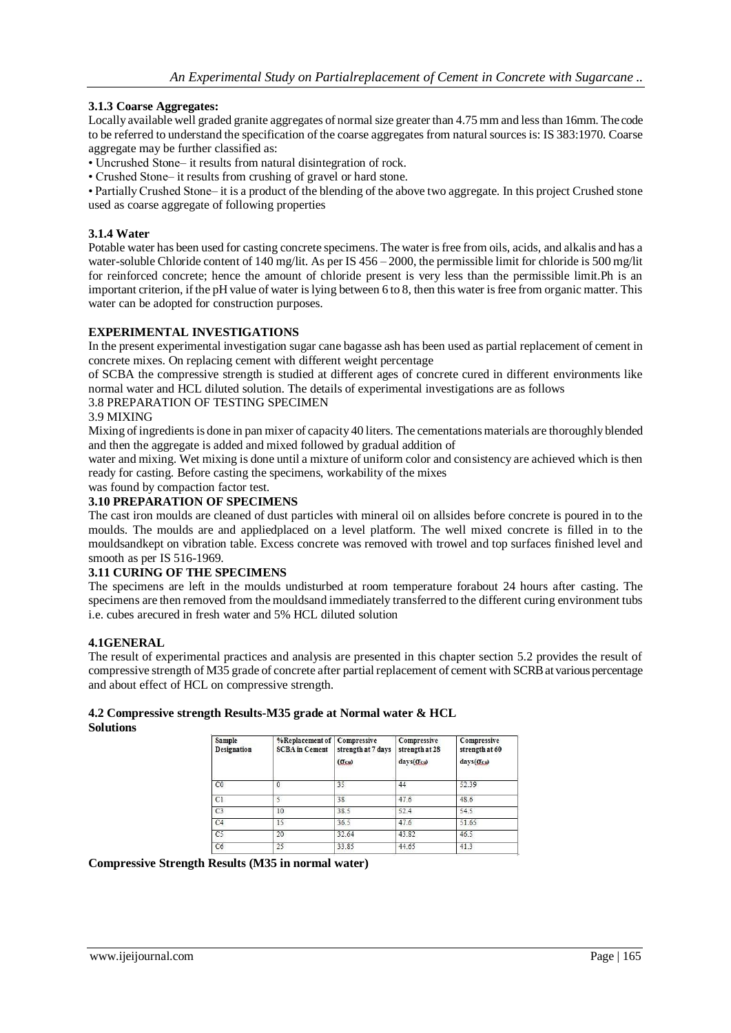#### **3.1.3 Coarse Aggregates:**

Locally available well graded granite aggregates of normal size greater than 4.75 mm and less than 16mm. The code to be referred to understand the specification of the coarse aggregates from natural sources is: IS 383:1970. Coarse aggregate may be further classified as:

• Uncrushed Stone– it results from natural disintegration of rock.

• Crushed Stone– it results from crushing of gravel or hard stone.

• Partially Crushed Stone– it is a product of the blending of the above two aggregate. In this project Crushed stone used as coarse aggregate of following properties

#### **3.1.4 Water**

Potable water has been used for casting concrete specimens. The water is free from oils, acids, and alkalis and has a water-soluble Chloride content of 140 mg/lit. As per IS 456 – 2000, the permissible limit for chloride is 500 mg/lit for reinforced concrete; hence the amount of chloride present is very less than the permissible limit.Ph is an important criterion, if the pH value of water is lying between 6 to 8, then this water is free from organic matter. This water can be adopted for construction purposes.

#### **EXPERIMENTAL INVESTIGATIONS**

In the present experimental investigation sugar cane bagasse ash has been used as partial replacement of cement in concrete mixes. On replacing cement with different weight percentage

of SCBA the compressive strength is studied at different ages of concrete cured in different environments like normal water and HCL diluted solution. The details of experimental investigations are as follows

#### 3.8 PREPARATION OF TESTING SPECIMEN

#### 3.9 MIXING

Mixing of ingredients is done in pan mixer of capacity 40 liters. The cementations materials are thoroughly blended and then the aggregate is added and mixed followed by gradual addition of

water and mixing. Wet mixing is done until a mixture of uniform color and consistency are achieved which is then ready for casting. Before casting the specimens, workability of the mixes

was found by compaction factor test.

## **3.10 PREPARATION OF SPECIMENS**

The cast iron moulds are cleaned of dust particles with mineral oil on allsides before concrete is poured in to the moulds. The moulds are and appliedplaced on a level platform. The well mixed concrete is filled in to the mouldsandkept on vibration table. Excess concrete was removed with trowel and top surfaces finished level and smooth as per IS 516-1969.

#### **3.11 CURING OF THE SPECIMENS**

The specimens are left in the moulds undisturbed at room temperature forabout 24 hours after casting. The specimens are then removed from the mouldsand immediately transferred to the different curing environment tubs i.e. cubes arecured in fresh water and 5% HCL diluted solution

#### **4.1GENERAL**

The result of experimental practices and analysis are presented in this chapter section 5.2 provides the result of compressive strength of M35 grade of concrete after partial replacement of cement with SCRB at various percentage and about effect of HCL on compressive strength.

#### **4.2 Compressive strength Results-M35 grade at Normal water & HCL Solutions**

| <b>Sample</b><br><b>Designation</b> | %Replacement of   Compressive<br><b>SCBA</b> in Cement | strength at 7 days<br>$(\sigma$ cu) | Compressive<br>strength at 28<br>days(Ocu) | Compressive<br>strength at 60<br>days(Ocu) |
|-------------------------------------|--------------------------------------------------------|-------------------------------------|--------------------------------------------|--------------------------------------------|
| CO                                  | 0                                                      | 35                                  | 44                                         | 52.39                                      |
| C1                                  |                                                        | 38                                  | 47.6                                       | 48.6                                       |
| C <sub>3</sub>                      | 10                                                     | 38.5                                | 52.4                                       | 54.5                                       |
| C4                                  | 15                                                     | 36.5                                | 47.6                                       | 51.65                                      |
| C <sub>5</sub>                      | 20                                                     | 32.64                               | 43.82                                      | 46.5                                       |
| C6                                  | 25                                                     | 33.85                               | 44.65                                      | 41.3                                       |

#### **Compressive Strength Results (M35 in normal water)**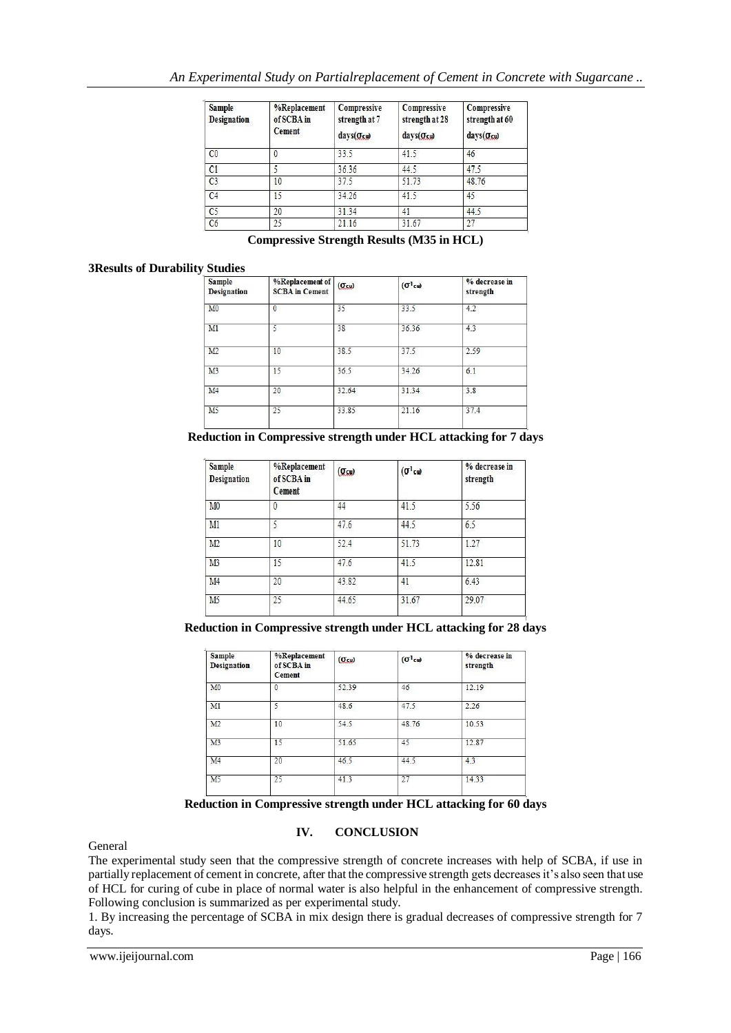| Sample<br><b>Designation</b> | %Replacement<br>of SCBA in<br>Cement | Compressive<br>strength at 7<br>$\frac{days(Gcu)}{g(u)}$ | Compressive<br>strength at 28<br>$\text{days}(\sigma_{\text{cu}})$ | Compressive<br>strength at 60<br>days(Ocu) |
|------------------------------|--------------------------------------|----------------------------------------------------------|--------------------------------------------------------------------|--------------------------------------------|
| CO                           |                                      | 33.5                                                     | 41.5                                                               | 46                                         |
| C1                           |                                      | 36.36                                                    | 44.5                                                               | 47.5                                       |
| C3                           | 10                                   | 37.5                                                     | 51.73                                                              | 48.76                                      |
| C4                           | 15                                   | 34.26                                                    | 41.5                                                               | 45                                         |
| C <sub>5</sub>               | 20                                   | 31.34                                                    | 41                                                                 | 44.5                                       |
| C6                           | 25                                   | 21.16                                                    | 31.67                                                              | 27                                         |

**Compressive Strength Results (M35 in HCL)**

#### **3Results of Durability Studies**

| <b>Sample</b><br><b>Designation</b> | %Replacement of<br><b>SCBA</b> in Cement | $(\sigmacu)$ | $(\sigma^1$ cu) | % decrease in<br>strength |
|-------------------------------------|------------------------------------------|--------------|-----------------|---------------------------|
| M <sub>0</sub>                      | $\theta$                                 | 35           | 33.5            | 4.2                       |
| M1                                  | 5                                        | 38           | 36.36           | 4.3                       |
| M2                                  | 10                                       | 38.5         | 37.5            | 2.59                      |
| M3                                  | 15                                       | 36.5         | 34.26           | 6.1                       |
| M <sub>4</sub>                      | 20                                       | 32.64        | 31.34           | 3.8                       |
| M <sub>5</sub>                      | 25                                       | 33.85        | 21.16           | 37.4                      |
|                                     |                                          |              |                 |                           |

**Reduction in Compressive strength under HCL attacking for 7 days**

| <b>Sample</b><br><b>Designation</b> | %Replacement<br>of SCBA in<br><b>Cement</b> | $(\sigma_{\text{cu}})$ | $(\sigma^1$ cu) | % decrease in<br>strength |
|-------------------------------------|---------------------------------------------|------------------------|-----------------|---------------------------|
| M <sub>0</sub>                      | $\theta$                                    | 44                     | 41.5            | 5.56                      |
| M1                                  | 5                                           | 47.6                   | 44.5            | 6.5                       |
| M2                                  | 10                                          | 52.4                   | 51.73           | 1.27                      |
| M <sub>3</sub>                      | 15                                          | 47.6                   | 41.5            | 12.81                     |
| M <sub>4</sub>                      | 20                                          | 43.82                  | 41              | 6.43                      |
| M <sub>5</sub>                      | 25                                          | 44.65                  | 31.67           | 29.07                     |

**Reduction in Compressive strength under HCL attacking for 28 days**

| Sample<br><b>Designation</b> | %Replacement<br>of SCBA in<br>Cement | $(\sigma_{\text{cu}})$ | $(\sigma^1$ cu) | % decrease in<br>strength |
|------------------------------|--------------------------------------|------------------------|-----------------|---------------------------|
| M <sub>0</sub>               | $\Omega$                             | 52.39                  | 46              | 12.19                     |
| M1                           | 5                                    | 48.6                   | 47.5            | 2.26                      |
| M2                           | 10                                   | 54.5                   | 48.76           | 10.53                     |
| M <sub>3</sub>               | 15                                   | 51.65                  | 45              | 12.87                     |
| M <sub>4</sub>               | 20                                   | 46.5                   | 44.5            | 4.3                       |
| M <sub>5</sub>               | 25                                   | 41.3                   | 27              | 14.33                     |

**Reduction in Compressive strength under HCL attacking for 60 days**

#### **IV. CONCLUSION**

General

The experimental study seen that the compressive strength of concrete increases with help of SCBA, if use in partially replacement of cement in concrete, after that the compressive strength gets decreases it's also seen that use of HCL for curing of cube in place of normal water is also helpful in the enhancement of compressive strength. Following conclusion is summarized as per experimental study.

1. By increasing the percentage of SCBA in mix design there is gradual decreases of compressive strength for 7 days.